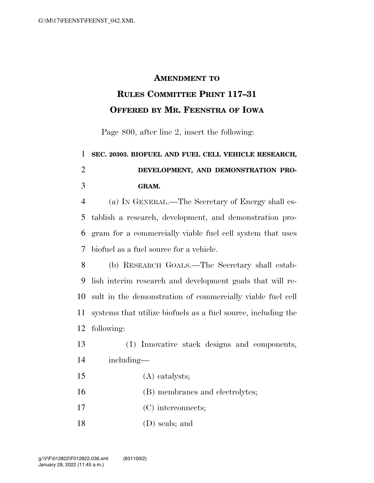## **AMENDMENT TO**

## **RULES COMMITTEE PRINT 117–31 OFFERED BY MR. FEENSTRA OF IOWA**

Page 800, after line 2, insert the following:

## **SEC. 20303. BIOFUEL AND FUEL CELL VEHICLE RESEARCH, DEVELOPMENT, AND DEMONSTRATION PRO-GRAM.**

 (a) IN GENERAL.—The Secretary of Energy shall es- tablish a research, development, and demonstration pro- gram for a commercially viable fuel cell system that uses biofuel as a fuel source for a vehicle.

 (b) RESEARCH GOALS.—The Secretary shall estab- lish interim research and development goals that will re- sult in the demonstration of commercially viable fuel cell systems that utilize biofuels as a fuel source, including the following:

 (1) Innovative stack designs and components, including—

- (A) catalysts;
- (B) membranes and electrolytes;
- (C) interconnects;
- (D) seals; and